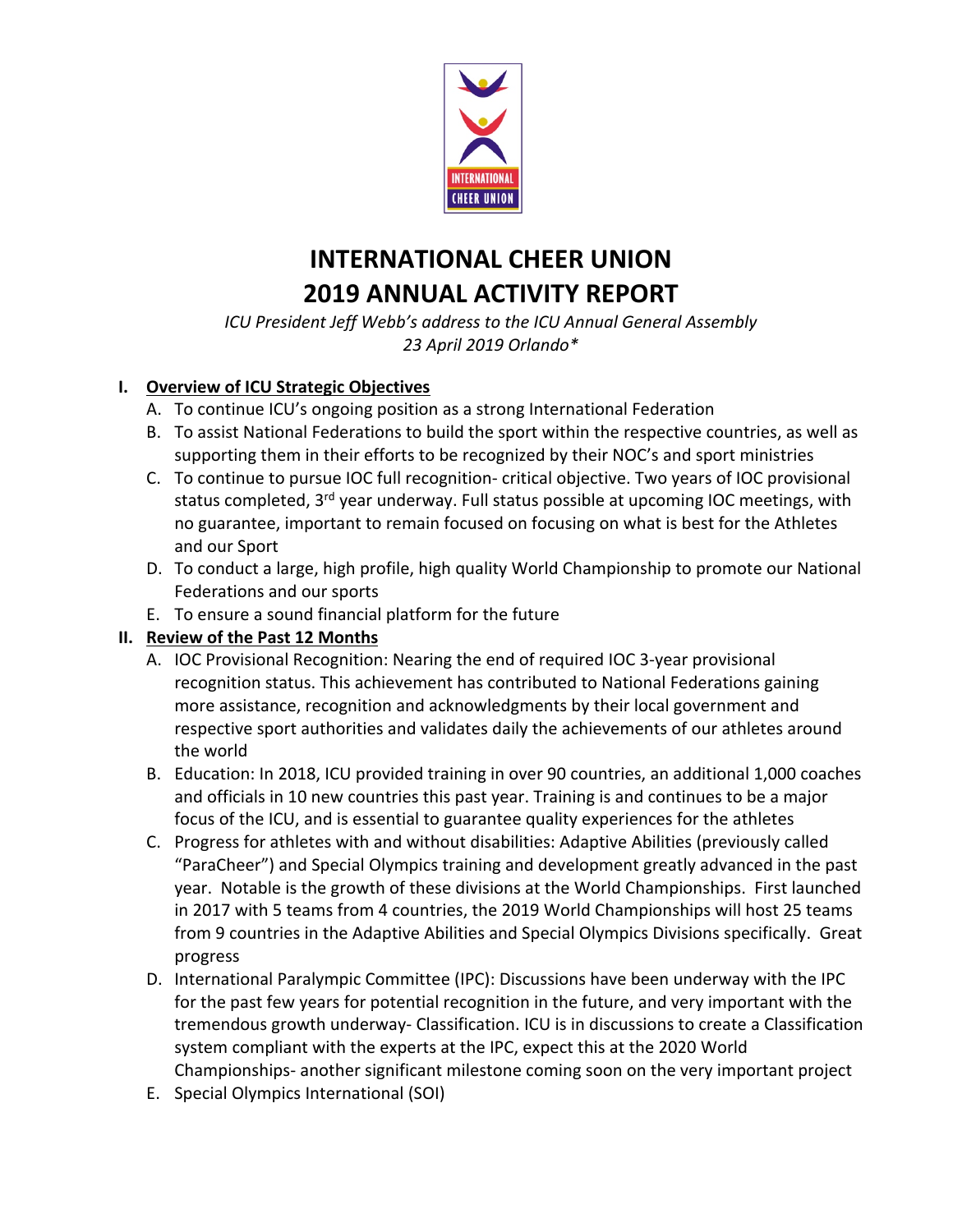

# **INTERNATIONAL CHEER UNION 2019 ANNUAL ACTIVITY REPORT**

*ICU President Jeff Webb's address to the ICU Annual General Assembly 23 April 2019 Orlando\**

## **I. Overview of ICU Strategic Objectives**

- A. To continue ICU's ongoing position as a strong International Federation
- B. To assist National Federations to build the sport within the respective countries, as well as supporting them in their efforts to be recognized by their NOC's and sport ministries
- C. To continue to pursue IOC full recognition- critical objective. Two years of IOC provisional status completed, 3<sup>rd</sup> year underway. Full status possible at upcoming IOC meetings, with no guarantee, important to remain focused on focusing on what is best for the Athletes and our Sport
- D. To conduct a large, high profile, high quality World Championship to promote our National Federations and our sports
- E. To ensure a sound financial platform for the future

#### **II. Review of the Past 12 Months**

- A. IOC Provisional Recognition: Nearing the end of required IOC 3-year provisional recognition status. This achievement has contributed to National Federations gaining more assistance, recognition and acknowledgments by their local government and respective sport authorities and validates daily the achievements of our athletes around the world
- B. Education: In 2018, ICU provided training in over 90 countries, an additional 1,000 coaches and officials in 10 new countries this past year. Training is and continues to be a major focus of the ICU, and is essential to guarantee quality experiences for the athletes
- C. Progress for athletes with and without disabilities: Adaptive Abilities (previously called "ParaCheer") and Special Olympics training and development greatly advanced in the past year. Notable is the growth of these divisions at the World Championships. First launched in 2017 with 5 teams from 4 countries, the 2019 World Championships will host 25 teams from 9 countries in the Adaptive Abilities and Special Olympics Divisions specifically. Great progress
- D. International Paralympic Committee (IPC): Discussions have been underway with the IPC for the past few years for potential recognition in the future, and very important with the tremendous growth underway- Classification. ICU is in discussions to create a Classification system compliant with the experts at the IPC, expect this at the 2020 World Championships- another significant milestone coming soon on the very important project
- E. Special Olympics International (SOI)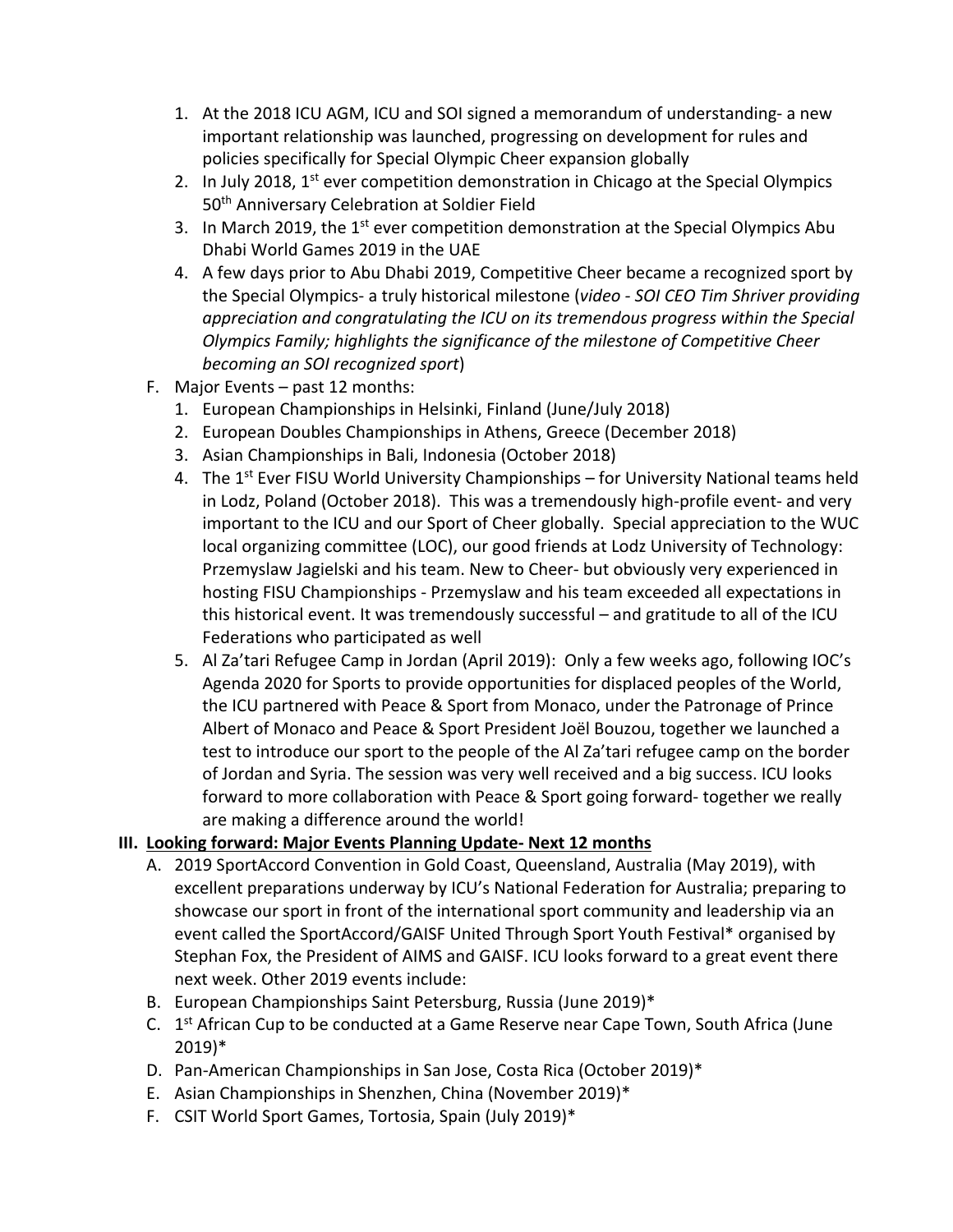- 1. At the 2018 ICU AGM, ICU and SOI signed a memorandum of understanding- a new important relationship was launched, progressing on development for rules and policies specifically for Special Olympic Cheer expansion globally
- 2. In July 2018,  $1^{st}$  ever competition demonstration in Chicago at the Special Olympics 50<sup>th</sup> Anniversary Celebration at Soldier Field
- 3. In March 2019, the  $1<sup>st</sup>$  ever competition demonstration at the Special Olympics Abu Dhabi World Games 2019 in the UAE
- 4. A few days prior to Abu Dhabi 2019, Competitive Cheer became a recognized sport by the Special Olympics- a truly historical milestone (*video - SOI CEO Tim Shriver providing appreciation and congratulating the ICU on its tremendous progress within the Special Olympics Family; highlights the significance of the milestone of Competitive Cheer becoming an SOI recognized sport*)
- F. Major Events past 12 months:
	- 1. European Championships in Helsinki, Finland (June/July 2018)
	- 2. European Doubles Championships in Athens, Greece (December 2018)
	- 3. Asian Championships in Bali, Indonesia (October 2018)
	- 4. The 1<sup>st</sup> Ever FISU World University Championships for University National teams held in Lodz, Poland (October 2018). This was a tremendously high-profile event- and very important to the ICU and our Sport of Cheer globally. Special appreciation to the WUC local organizing committee (LOC), our good friends at Lodz University of Technology: Przemyslaw Jagielski and his team. New to Cheer- but obviously very experienced in hosting FISU Championships - Przemyslaw and his team exceeded all expectations in this historical event. It was tremendously successful – and gratitude to all of the ICU Federations who participated as well
	- 5. Al Za'tari Refugee Camp in Jordan (April 2019): Only a few weeks ago, following IOC's Agenda 2020 for Sports to provide opportunities for displaced peoples of the World, the ICU partnered with Peace & Sport from Monaco, under the Patronage of Prince Albert of Monaco and Peace & Sport President Joël Bouzou, together we launched a test to introduce our sport to the people of the Al Za'tari refugee camp on the border of Jordan and Syria. The session was very well received and a big success. ICU looks forward to more collaboration with Peace & Sport going forward- together we really are making a difference around the world!

#### **III. Looking forward: Major Events Planning Update- Next 12 months**

- A. 2019 SportAccord Convention in Gold Coast, Queensland, Australia (May 2019), with excellent preparations underway by ICU's National Federation for Australia; preparing to showcase our sport in front of the international sport community and leadership via an event called the SportAccord/GAISF United Through Sport Youth Festival\* organised by Stephan Fox, the President of AIMS and GAISF. ICU looks forward to a great event there next week. Other 2019 events include:
- B. European Championships Saint Petersburg, Russia (June 2019)\*
- C. 1<sup>st</sup> African Cup to be conducted at a Game Reserve near Cape Town, South Africa (June 2019)\*
- D. Pan-American Championships in San Jose, Costa Rica (October 2019)\*
- E. Asian Championships in Shenzhen, China (November 2019)\*
- F. CSIT World Sport Games, Tortosia, Spain (July 2019)\*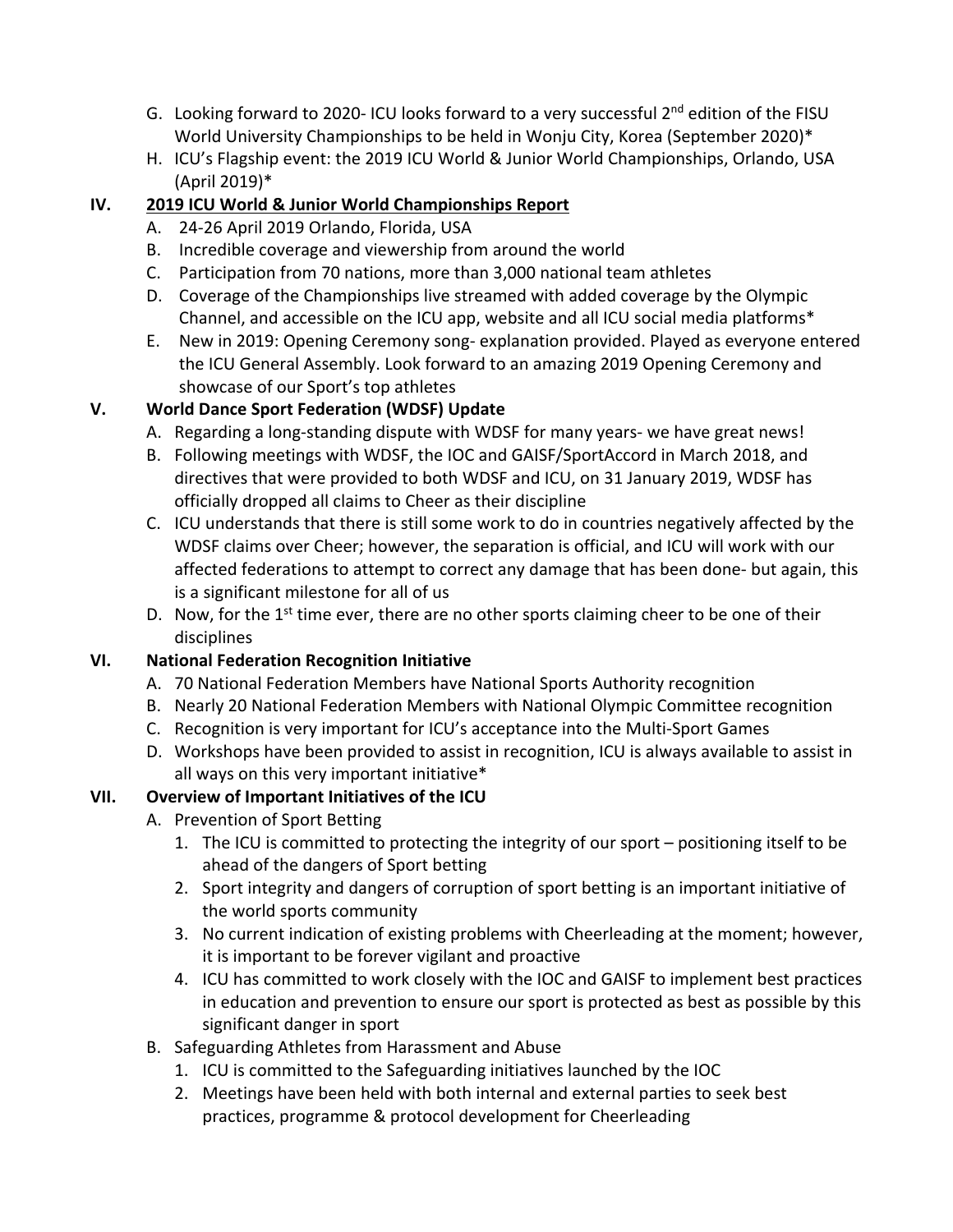- G. Looking forward to 2020- ICU looks forward to a very successful 2<sup>nd</sup> edition of the FISU World University Championships to be held in Wonju City, Korea (September 2020)\*
- H. ICU's Flagship event: the 2019 ICU World & Junior World Championships, Orlando, USA (April 2019)\*

# **IV. 2019 ICU World & Junior World Championships Report**

- A. 24-26 April 2019 Orlando, Florida, USA
- B. Incredible coverage and viewership from around the world
- C. Participation from 70 nations, more than 3,000 national team athletes
- D. Coverage of the Championships live streamed with added coverage by the Olympic Channel, and accessible on the ICU app, website and all ICU social media platforms\*
- E. New in 2019: Opening Ceremony song- explanation provided. Played as everyone entered the ICU General Assembly. Look forward to an amazing 2019 Opening Ceremony and showcase of our Sport's top athletes

# **V. World Dance Sport Federation (WDSF) Update**

- A. Regarding a long-standing dispute with WDSF for many years- we have great news!
- B. Following meetings with WDSF, the IOC and GAISF/SportAccord in March 2018, and directives that were provided to both WDSF and ICU, on 31 January 2019, WDSF has officially dropped all claims to Cheer as their discipline
- C. ICU understands that there is still some work to do in countries negatively affected by the WDSF claims over Cheer; however, the separation is official, and ICU will work with our affected federations to attempt to correct any damage that has been done- but again, this is a significant milestone for all of us
- D. Now, for the  $1<sup>st</sup>$  time ever, there are no other sports claiming cheer to be one of their disciplines

# **VI. National Federation Recognition Initiative**

- A. 70 National Federation Members have National Sports Authority recognition
- B. Nearly 20 National Federation Members with National Olympic Committee recognition
- C. Recognition is very important for ICU's acceptance into the Multi-Sport Games
- D. Workshops have been provided to assist in recognition, ICU is always available to assist in all ways on this very important initiative\*

# **VII. Overview of Important Initiatives of the ICU**

- A. Prevention of Sport Betting
	- 1. The ICU is committed to protecting the integrity of our sport positioning itself to be ahead of the dangers of Sport betting
	- 2. Sport integrity and dangers of corruption of sport betting is an important initiative of the world sports community
	- 3. No current indication of existing problems with Cheerleading at the moment; however, it is important to be forever vigilant and proactive
	- 4. ICU has committed to work closely with the IOC and GAISF to implement best practices in education and prevention to ensure our sport is protected as best as possible by this significant danger in sport
- B. Safeguarding Athletes from Harassment and Abuse
	- 1. ICU is committed to the Safeguarding initiatives launched by the IOC
	- 2. Meetings have been held with both internal and external parties to seek best practices, programme & protocol development for Cheerleading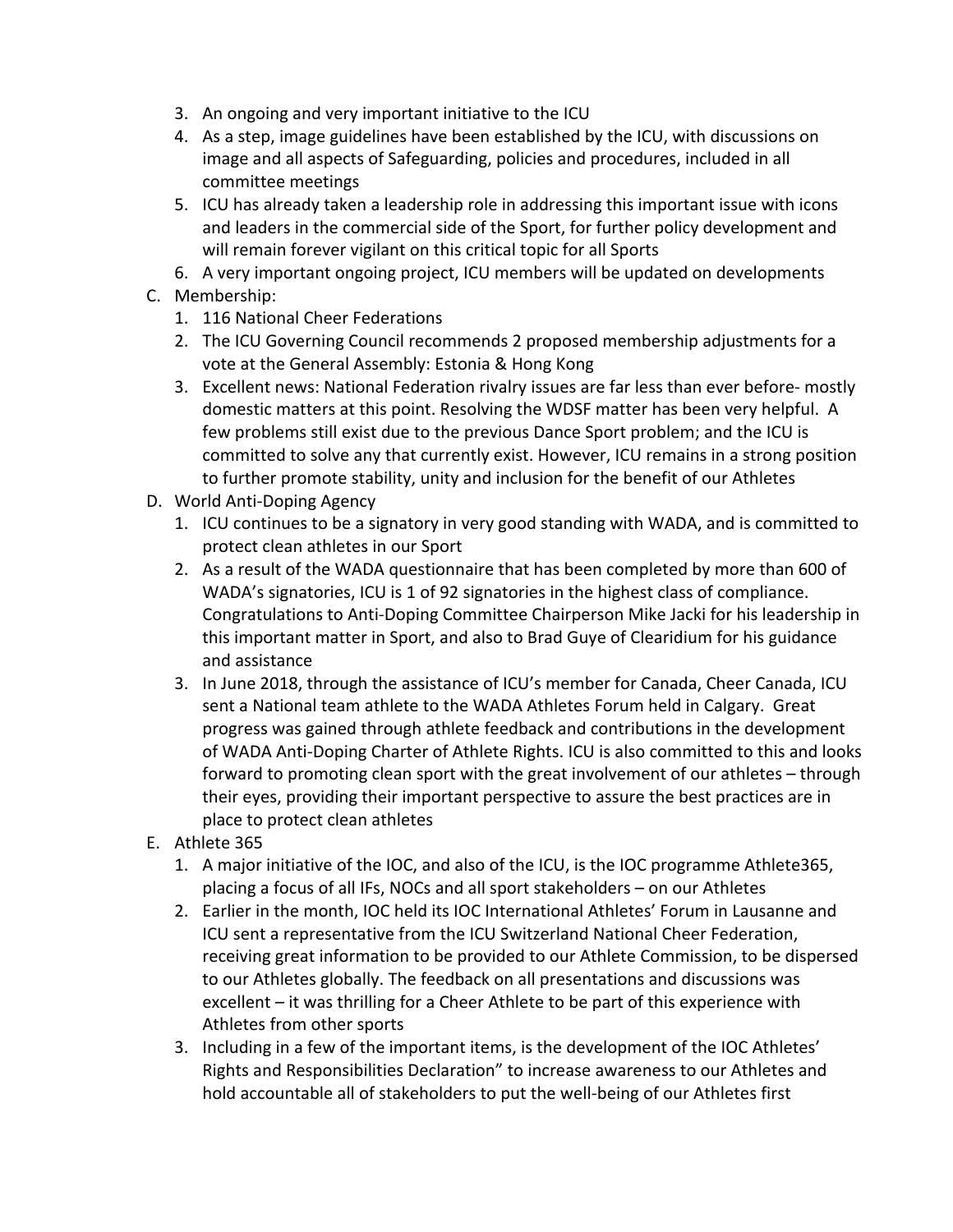- 3. An ongoing and very important initiative to the ICU
- 4. As a step, image guidelines have been established by the ICU, with discussions on image and all aspects of Safeguarding, policies and procedures, included in all committee meetings
- 5. ICU has already taken a leadership role in addressing this important issue with icons and leaders in the commercial side of the Sport, for further policy development and will remain forever vigilant on this critical topic for all Sports
- 6. A very important ongoing project, ICU members will be updated on developments
- C. Membership:
	- 1. 116 National Cheer Federations
	- 2. The ICU Governing Council recommends 2 proposed membership adjustments for a vote at the General Assembly: Estonia & Hong Kong
	- 3. Excellent news: National Federation rivalry issues are far less than ever before- mostly domestic matters at this point. Resolving the WDSF matter has been very helpful. A few problems still exist due to the previous Dance Sport problem; and the ICU is committed to solve any that currently exist. However, ICU remains in a strong position to further promote stability, unity and inclusion for the benefit of our Athletes
- D. World Anti-Doping Agency
	- 1. ICU continues to be a signatory in very good standing with WADA, and is committed to protect clean athletes in our Sport
	- 2. As a result of the WADA questionnaire that has been completed by more than 600 of WADA's signatories, ICU is 1 of 92 signatories in the highest class of compliance. Congratulations to Anti-Doping Committee Chairperson Mike Jacki for his leadership in this important matter in Sport, and also to Brad Guye of Clearidium for his guidance and assistance
	- 3. In June 2018, through the assistance of ICU's member for Canada, Cheer Canada, ICU sent a National team athlete to the WADA Athletes Forum held in Calgary. Great progress was gained through athlete feedback and contributions in the development of WADA Anti-Doping Charter of Athlete Rights. ICU is also committed to this and looks forward to promoting clean sport with the great involvement of our athletes – through their eyes, providing their important perspective to assure the best practices are in place to protect clean athletes
- E. Athlete 365
	- 1. A major initiative of the IOC, and also of the ICU, is the IOC programme Athlete365, placing a focus of all IFs, NOCs and all sport stakeholders – on our Athletes
	- 2. Earlier in the month, IOC held its IOC International Athletes' Forum in Lausanne and ICU sent a representative from the ICU Switzerland National Cheer Federation, receiving great information to be provided to our Athlete Commission, to be dispersed to our Athletes globally. The feedback on all presentations and discussions was excellent – it was thrilling for a Cheer Athlete to be part of this experience with Athletes from other sports
	- 3. Including in a few of the important items, is the development of the IOC Athletes' Rights and Responsibilities Declaration" to increase awareness to our Athletes and hold accountable all of stakeholders to put the well-being of our Athletes first